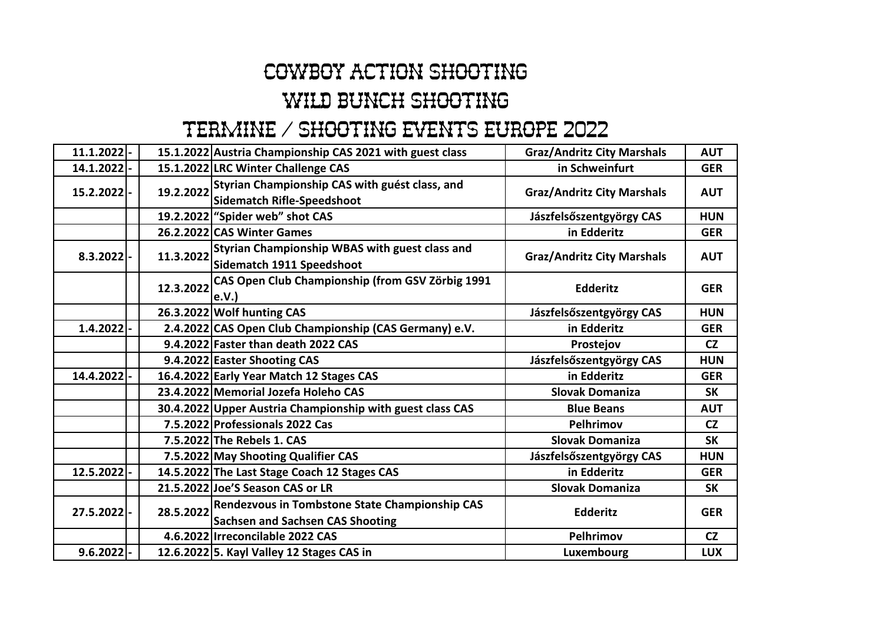## Cowboy Action Shooting WILD BUNCH SHOOTING

## Termine / Shooting Events Europe 2022

| $11.1.2022$ - |           | 15.1.2022 Austria Championship CAS 2021 with guest class                                  | <b>Graz/Andritz City Marshals</b> | <b>AUT</b> |
|---------------|-----------|-------------------------------------------------------------------------------------------|-----------------------------------|------------|
| 14.1.2022     |           | 15.1.2022 LRC Winter Challenge CAS                                                        | in Schweinfurt                    | <b>GER</b> |
| 15.2.2022 -   | 19.2.2022 | Styrian Championship CAS with guést class, and<br><b>Sidematch Rifle-Speedshoot</b>       | <b>Graz/Andritz City Marshals</b> | <b>AUT</b> |
|               |           | 19.2.2022   "Spider web" shot CAS                                                         | Jászfelsőszentgyörgy CAS          | <b>HUN</b> |
|               |           | 26.2.2022 CAS Winter Games                                                                | in Edderitz                       | <b>GER</b> |
| $8.3.2022$ -  | 11.3.2022 | Styrian Championship WBAS with guest class and<br>Sidematch 1911 Speedshoot               | <b>Graz/Andritz City Marshals</b> | <b>AUT</b> |
|               | 12.3.2022 | CAS Open Club Championship (from GSV Zörbig 1991<br>e.V.                                  | <b>Edderitz</b>                   | <b>GER</b> |
|               |           | 26.3.2022 Wolf hunting CAS                                                                | Jászfelsőszentgyörgy CAS          | <b>HUN</b> |
| $1.4.2022$ -  |           | 2.4.2022 CAS Open Club Championship (CAS Germany) e.V.                                    | in Edderitz                       | <b>GER</b> |
|               |           | 9.4.2022 Faster than death 2022 CAS                                                       | Prostejov                         | <b>CZ</b>  |
|               |           | 9.4.2022 Easter Shooting CAS                                                              | Jászfelsőszentgyörgy CAS          | <b>HUN</b> |
| 14.4.2022 -   |           | 16.4.2022 Early Year Match 12 Stages CAS                                                  | in Edderitz                       | <b>GER</b> |
|               |           | 23.4.2022 Memorial Jozefa Holeho CAS                                                      | <b>Slovak Domaniza</b>            | <b>SK</b>  |
|               |           | 30.4.2022 Upper Austria Championship with guest class CAS                                 | <b>Blue Beans</b>                 | <b>AUT</b> |
|               |           | 7.5.2022 Professionals 2022 Cas                                                           | Pelhrimov                         | <b>CZ</b>  |
|               |           | 7.5.2022 The Rebels 1. CAS                                                                | <b>Slovak Domaniza</b>            | <b>SK</b>  |
|               |           | 7.5.2022 May Shooting Qualifier CAS                                                       | Jászfelsőszentgyörgy CAS          | <b>HUN</b> |
| 12.5.2022 -   |           | 14.5.2022 The Last Stage Coach 12 Stages CAS                                              | in Edderitz                       | <b>GER</b> |
|               |           | 21.5.2022 Joe'S Season CAS or LR                                                          | <b>Slovak Domaniza</b>            | <b>SK</b>  |
| 27.5.2022  -  | 28.5.2022 | Rendezvous in Tombstone State Championship CAS<br><b>Sachsen and Sachsen CAS Shooting</b> | <b>Edderitz</b>                   | <b>GER</b> |
|               |           | 4.6.2022 Irreconcilable 2022 CAS                                                          | Pelhrimov                         | <b>CZ</b>  |
| $9.6.2022$ -  |           | 12.6.2022 5. Kayl Valley 12 Stages CAS in                                                 | Luxembourg                        | <b>LUX</b> |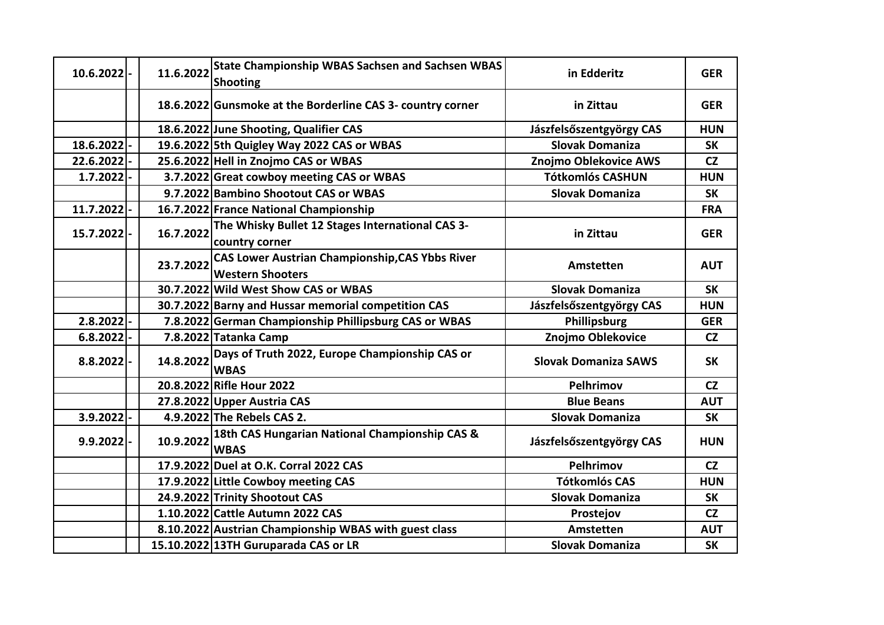| 10.6.2022    | 11.6.2022 | <b>State Championship WBAS Sachsen and Sachsen WBAS</b><br>Shooting               | in Edderitz                 | <b>GER</b> |
|--------------|-----------|-----------------------------------------------------------------------------------|-----------------------------|------------|
|              |           | 18.6.2022 Gunsmoke at the Borderline CAS 3- country corner                        | in Zittau                   | <b>GER</b> |
|              |           | 18.6.2022 June Shooting, Qualifier CAS                                            | Jászfelsőszentgyörgy CAS    | <b>HUN</b> |
| 18.6.2022 -  |           | 19.6.2022 5th Quigley Way 2022 CAS or WBAS                                        | <b>Slovak Domaniza</b>      | <b>SK</b>  |
| 22.6.2022-   |           | 25.6.2022 Hell in Znojmo CAS or WBAS                                              | Znojmo Oblekovice AWS       | <b>CZ</b>  |
| 1.7.2022     |           | 3.7.2022 Great cowboy meeting CAS or WBAS                                         | <b>Tótkomlós CASHUN</b>     | <b>HUN</b> |
|              |           | 9.7.2022 Bambino Shootout CAS or WBAS                                             | <b>Slovak Domaniza</b>      | <b>SK</b>  |
| 11.7.2022    |           | 16.7.2022 France National Championship                                            |                             | <b>FRA</b> |
| 15.7.2022 -  | 16.7.2022 | The Whisky Bullet 12 Stages International CAS 3-<br>country corner                | in Zittau                   | <b>GER</b> |
|              | 23.7.2022 | <b>CAS Lower Austrian Championship, CAS Ybbs River</b><br><b>Western Shooters</b> | Amstetten                   | <b>AUT</b> |
|              |           | 30.7.2022 Wild West Show CAS or WBAS                                              | <b>Slovak Domaniza</b>      | <b>SK</b>  |
|              |           | 30.7.2022 Barny and Hussar memorial competition CAS                               | Jászfelsőszentgyörgy CAS    | <b>HUN</b> |
| 2.8.2022     |           | 7.8.2022 German Championship Phillipsburg CAS or WBAS                             | Phillipsburg                | <b>GER</b> |
| 6.8.2022     |           | 7.8.2022 Tatanka Camp                                                             | Znojmo Oblekovice           | <b>CZ</b>  |
| $8.8.2022$ - | 14.8.2022 | Days of Truth 2022, Europe Championship CAS or<br><b>WBAS</b>                     | <b>Slovak Domaniza SAWS</b> | <b>SK</b>  |
|              |           | 20.8.2022 Rifle Hour 2022                                                         | Pelhrimov                   | <b>CZ</b>  |
|              |           | 27.8.2022 Upper Austria CAS                                                       | <b>Blue Beans</b>           | <b>AUT</b> |
| $3.9.2022$ - |           | 4.9.2022 The Rebels CAS 2.                                                        | <b>Slovak Domaniza</b>      | <b>SK</b>  |
| $9.9.2022$ - | 10.9.2022 | 18th CAS Hungarian National Championship CAS &<br><b>WBAS</b>                     | Jászfelsőszentgyörgy CAS    | <b>HUN</b> |
|              |           | 17.9.2022 Duel at O.K. Corral 2022 CAS                                            | Pelhrimov                   | CZ         |
|              |           | 17.9.2022 Little Cowboy meeting CAS                                               | <b>Tótkomlós CAS</b>        | <b>HUN</b> |
|              |           | 24.9.2022 Trinity Shootout CAS                                                    | <b>Slovak Domaniza</b>      | <b>SK</b>  |
|              |           | 1.10.2022 Cattle Autumn 2022 CAS                                                  | Prostejov                   | CZ         |
|              |           | 8.10.2022 Austrian Championship WBAS with guest class                             | Amstetten                   | <b>AUT</b> |
|              |           | 15.10.2022 13TH Guruparada CAS or LR                                              | <b>Slovak Domaniza</b>      | <b>SK</b>  |